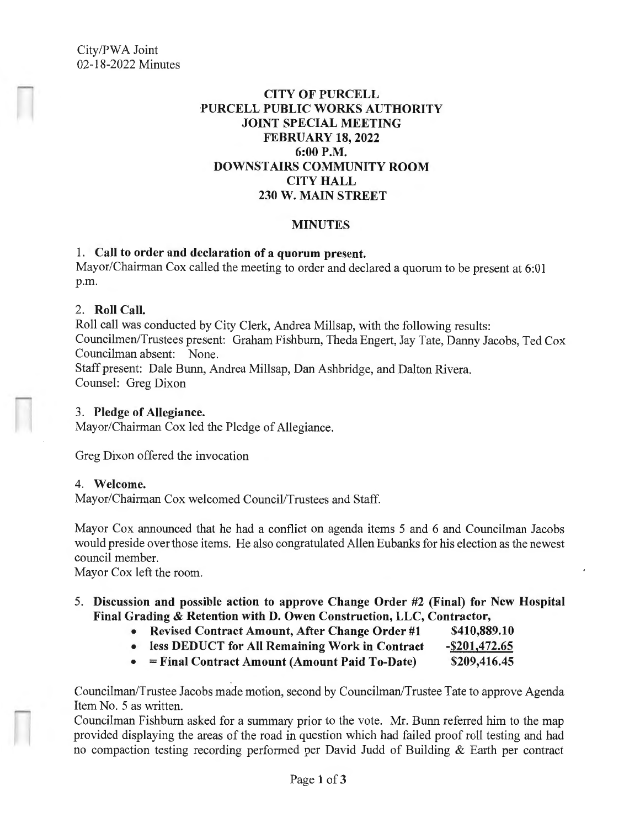# **CITY OF PURCELL PURCELL PUBLIC WORKS AUTHORITY JOINT SPECIAL MEETING FEBRUARY 18, 2022 6:00P.M. DOWNSTAIRS COMMUNITY ROOM CITY HALL 230 W. MAIN STREET**

## **MINUTES**

## 1. **Call to order and declaration of a quorum present.**

Mayor/Chairman Cox called the meeting to order and declared a quorum to be present at 6:01 p.m.

#### 2. **Roll Call.**

Roll call was conducted by City Clerk, Andrea Millsap, with the following results: Councilmen/Trustees present: Graham Fishburn, Theda Engert, Jay Tate, Danny Jacobs, Ted Cox Councilman absent: None. Staff present: Dale Bunn, Andrea Millsap, Dan Ashbridge, and Dalton Rivera.

Counsel: Greg Dixon

## 3. **Pledge of Allegiance.**

Mayor/Chairman Cox led the Pledge of Allegiance.

Greg Dixon offered the invocation

#### 4. **Welcome.**

Mayor/Chairman Cox welcomed Council/Trustees and Staff.

Mayor Cox announced that he had a conflict on agenda items 5 and 6 and Councilman Jacobs would preside over those items. He also congratulated Allen Eubanks for his election as the newest council member.

Mayor Cox left the room.

## 5. **Discussion and possible action to approve Change Order #2 (Final) for New Hospital Final Grading** & **Retention with D. Owen Construction, LLC, Contractor,**

- **Revised Contract Amount, After Change Order #1 \$410,889.10**
- **less DEDUCT for All Remaining Work in Contract -\$201,472.65**
- = **Final Contract Amount (Amount Paid To-Date) \$209,416.45**

Councilman/Trustee Jacobs made motion, second by Councilman/Trustee Tate to approve Agenda Item No. 5 as written.

Councilman Fishburn asked for a summary prior to the vote. Mr. Bunn referred him to the map provided displaying the areas of the road in question which had failed proof roll testing and had no compaction testing recording performed per David Judd of Building & Earth per contract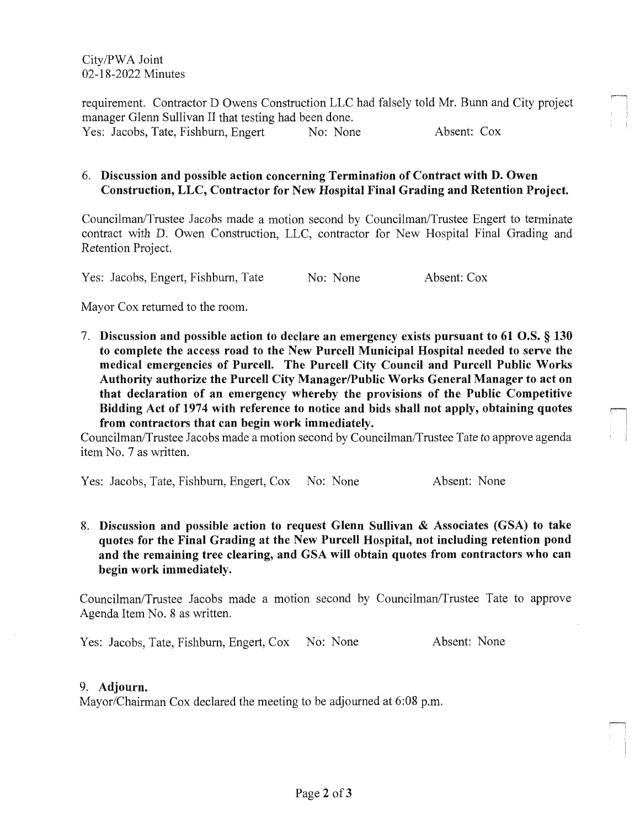City/PWA Joint 02-18-2022 Minutes

requirement. Contractor D Owens Construction LLC had falsely told Mr. Bunn and City project manager Glenn Sullivan II that testing had been done. Yes: Jacobs, Tate, Fishburn, Engert No: None Absent: Cox

## 6. **Discussion and possible action concerning Termination of Contract with D. Owen Construction, LLC, Contractor for New Hospital Final Grading and Retention Project.**

Councilman/Trustee Jacobs made a motion second by Councilman/Trustee Engert to terminate contract with D. Owen Construction, LLC, contractor for New Hospital Final Grading and Retention Project.

Yes: Jacobs, Engert, Fishburn, Tate No: None Absent: Cox

Mayor Cox returned to the room.

7. **Discussion and possible action to declare an emergency exists pursuant to 61 O.S.** § **130 to complete the access road to the New Purcell Municipal Hospital needed to serve the medical emergencies of Purcell. The Purcell City Council and Purcell Public Works Authority authorize the Purcell City Manager/Public Works General Manager to act on that declaration of an emergency whereby the provisions of the Public Competitive**  Bidding Act of 1974 with reference to notice and bids shall not apply, obtaining quotes from contractors that can begin work immediately.

Councilman/Trustee Jacobs made a motion second by Councilman/Trustee Tate to approve agenda item No. 7 as written.

Yes: Jacobs, Tate, Fishburn, Engert, Cox No: None Absent: None

8. **Discussion and possible action to request Glenn Sullivan** & **Associates (GSA) to take quotes for the Final Grading at the New Purcell Hospital, not including retention pond and the remaining tree clearing, and GSA will obtain quotes from contractors who can begin work immediately.** 

Councilman/Trustee Jacobs made a motion second by Councilman/Trustee Tate to approve Agenda Item No. 8 as written.

Yes: Jacobs, Tate, Fishburn, Engert, Cox No: None Absent: None

 $\begin{picture}(20,20) \put(0,0){\line(1,0){10}} \put(15,0){\line(1,0){10}} \put(15,0){\line(1,0){10}} \put(15,0){\line(1,0){10}} \put(15,0){\line(1,0){10}} \put(15,0){\line(1,0){10}} \put(15,0){\line(1,0){10}} \put(15,0){\line(1,0){10}} \put(15,0){\line(1,0){10}} \put(15,0){\line(1,0){10}} \put(15,0){\line(1,0){10}} \put(15,0){\line(1$ 

#### 9. **Adjourn.**

Mayor/Chairman Cox declared the meeting to be adjourned at 6:08 p.m.